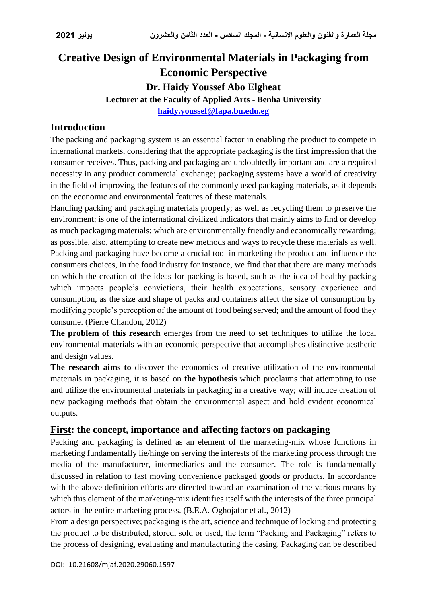# **Creative Design of Environmental Materials in Packaging from Economic Perspective Dr. Haidy Youssef Abo Elgheat**

**Lecturer at the Faculty of Applied Arts - Benha University**

**[haidy.youssef@fapa.bu.edu.eg](mailto:haidy.youssef@fapa.bu.edu.eg)**

### **Introduction**

The packing and packaging system is an essential factor in enabling the product to compete in international markets, considering that the appropriate packaging is the first impression that the consumer receives. Thus, packing and packaging are undoubtedly important and are a required necessity in any product commercial exchange; packaging systems have a world of creativity in the field of improving the features of the commonly used packaging materials, as it depends on the economic and environmental features of these materials.

Handling packing and packaging materials properly; as well as recycling them to preserve the environment; is one of the international civilized indicators that mainly aims to find or develop as much packaging materials; which are environmentally friendly and economically rewarding; as possible, also, attempting to create new methods and ways to recycle these materials as well. Packing and packaging have become a crucial tool in marketing the product and influence the consumers choices, in the food industry for instance, we find that that there are many methods on which the creation of the ideas for packing is based, such as the idea of healthy packing which impacts people's convictions, their health expectations, sensory experience and consumption, as the size and shape of packs and containers affect the size of consumption by modifying people's perception of the amount of food being served; and the amount of food they consume. (Pierre Chandon, 2012)

**The problem of this research** emerges from the need to set techniques to utilize the local environmental materials with an economic perspective that accomplishes distinctive aesthetic and design values.

**The research aims to** discover the economics of creative utilization of the environmental materials in packaging, it is based on **the hypothesis** which proclaims that attempting to use and utilize the environmental materials in packaging in a creative way; will induce creation of new packaging methods that obtain the environmental aspect and hold evident economical outputs.

### **First: the concept, importance and affecting factors on packaging**

Packing and packaging is defined as an element of the marketing-mix whose functions in marketing fundamentally lie/hinge on serving the interests of the marketing process through the media of the manufacturer, intermediaries and the consumer. The role is fundamentally discussed in relation to fast moving convenience packaged goods or products. In accordance with the above definition efforts are directed toward an examination of the various means by which this element of the marketing-mix identifies itself with the interests of the three principal actors in the entire marketing process. (B.E.A. Oghojafor et al., 2012)

From a design perspective; packaging is the art, science and technique of locking and protecting the product to be distributed, stored, sold or used, the term "Packing and Packaging" refers to the process of designing, evaluating and manufacturing the casing. Packaging can be described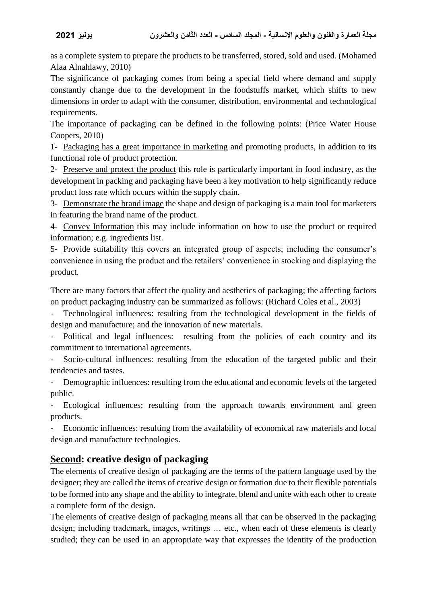as a complete system to prepare the products to be transferred, stored, sold and used. (Mohamed Alaa Alnahlawy, 2010)

The significance of packaging comes from being a special field where demand and supply constantly change due to the development in the foodstuffs market, which shifts to new dimensions in order to adapt with the consumer, distribution, environmental and technological requirements.

The importance of packaging can be defined in the following points: (Price Water House Coopers, 2010)

1- Packaging has a great importance in marketing and promoting products, in addition to its functional role of product protection.

2- Preserve and protect the product this role is particularly important in food industry, as the development in packing and packaging have been a key motivation to help significantly reduce product loss rate which occurs within the supply chain.

3- Demonstrate the brand image the shape and design of packaging is a main tool for marketers in featuring the brand name of the product.

4- Convey Information this may include information on how to use the product or required information; e.g. ingredients list.

5- Provide suitability this covers an integrated group of aspects; including the consumer's convenience in using the product and the retailers' convenience in stocking and displaying the product.

There are many factors that affect the quality and aesthetics of packaging; the affecting factors on product packaging industry can be summarized as follows: (Richard Coles et al., 2003)

- Technological influences: resulting from the technological development in the fields of design and manufacture; and the innovation of new materials.

Political and legal influences: resulting from the policies of each country and its commitment to international agreements.

Socio-cultural influences: resulting from the education of the targeted public and their tendencies and tastes.

Demographic influences: resulting from the educational and economic levels of the targeted public.

Ecological influences: resulting from the approach towards environment and green products.

- Economic influences: resulting from the availability of economical raw materials and local design and manufacture technologies.

## **Second: creative design of packaging**

The elements of creative design of packaging are the terms of the pattern language used by the designer; they are called the items of creative design or formation due to their flexible potentials to be formed into any shape and the ability to integrate, blend and unite with each other to create a complete form of the design.

The elements of creative design of packaging means all that can be observed in the packaging design; including trademark, images, writings … etc., when each of these elements is clearly studied; they can be used in an appropriate way that expresses the identity of the production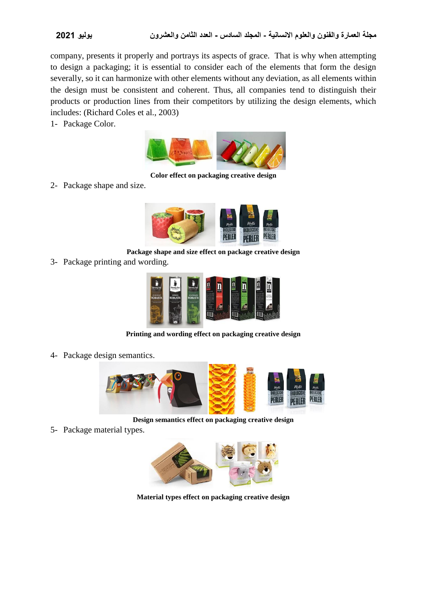company, presents it properly and portrays its aspects of grace. That is why when attempting to design a packaging; it is essential to consider each of the elements that form the design severally, so it can harmonize with other elements without any deviation, as all elements within the design must be consistent and coherent. Thus, all companies tend to distinguish their products or production lines from their competitors by utilizing the design elements, which includes: (Richard Coles et al., 2003)

1- Package Color.



**Color effect on packaging creative design**

2- Package shape and size.



**Package shape and size effect on package creative design**

3- Package printing and wording.



**Printing and wording effect on packaging creative design**

4- Package design semantics.



**Design semantics effect on packaging creative design**

5- Package material types.



**Material types effect on packaging creative design**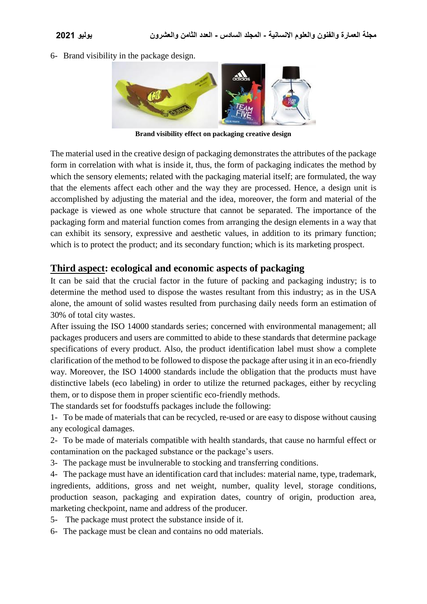6- Brand visibility in the package design.



**Brand visibility effect on packaging creative design**

The material used in the creative design of packaging demonstrates the attributes of the package form in correlation with what is inside it, thus, the form of packaging indicates the method by which the sensory elements; related with the packaging material itself; are formulated, the way that the elements affect each other and the way they are processed. Hence, a design unit is accomplished by adjusting the material and the idea, moreover, the form and material of the package is viewed as one whole structure that cannot be separated. The importance of the packaging form and material function comes from arranging the design elements in a way that can exhibit its sensory, expressive and aesthetic values, in addition to its primary function; which is to protect the product; and its secondary function; which is its marketing prospect.

### **Third aspect: ecological and economic aspects of packaging**

It can be said that the crucial factor in the future of packing and packaging industry; is to determine the method used to dispose the wastes resultant from this industry; as in the USA alone, the amount of solid wastes resulted from purchasing daily needs form an estimation of 30% of total city wastes.

After issuing the ISO 14000 standards series; concerned with environmental management; all packages producers and users are committed to abide to these standards that determine package specifications of every product. Also, the product identification label must show a complete clarification of the method to be followed to dispose the package after using it in an eco-friendly way. Moreover, the ISO 14000 standards include the obligation that the products must have distinctive labels (eco labeling) in order to utilize the returned packages, either by recycling them, or to dispose them in proper scientific eco-friendly methods.

The standards set for foodstuffs packages include the following:

1- To be made of materials that can be recycled, re-used or are easy to dispose without causing any ecological damages.

2- To be made of materials compatible with health standards, that cause no harmful effect or contamination on the packaged substance or the package's users.

3- The package must be invulnerable to stocking and transferring conditions.

4- The package must have an identification card that includes: material name, type, trademark, ingredients, additions, gross and net weight, number, quality level, storage conditions, production season, packaging and expiration dates, country of origin, production area, marketing checkpoint, name and address of the producer.

- 5- The package must protect the substance inside of it.
- 6- The package must be clean and contains no odd materials.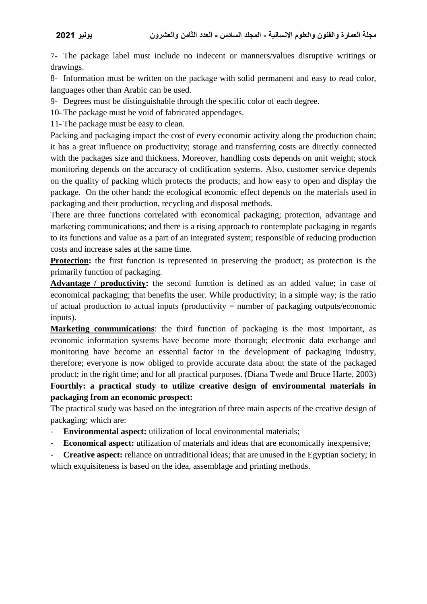7- The package label must include no indecent or manners/values disruptive writings or drawings.

8- Information must be written on the package with solid permanent and easy to read color, languages other than Arabic can be used.

9- Degrees must be distinguishable through the specific color of each degree.

10- The package must be void of fabricated appendages.

11- The package must be easy to clean.

Packing and packaging impact the cost of every economic activity along the production chain; it has a great influence on productivity; storage and transferring costs are directly connected with the packages size and thickness. Moreover, handling costs depends on unit weight; stock monitoring depends on the accuracy of codification systems. Also, customer service depends on the quality of packing which protects the products; and how easy to open and display the package. On the other hand; the ecological economic effect depends on the materials used in packaging and their production, recycling and disposal methods.

There are three functions correlated with economical packaging; protection, advantage and marketing communications; and there is a rising approach to contemplate packaging in regards to its functions and value as a part of an integrated system; responsible of reducing production costs and increase sales at the same time.

**Protection:** the first function is represented in preserving the product; as protection is the primarily function of packaging.

**Advantage / productivity:** the second function is defined as an added value; in case of economical packaging; that benefits the user. While productivity; in a simple way; is the ratio of actual production to actual inputs (productivity = number of packaging outputs/economic inputs).

**Marketing communications**: the third function of packaging is the most important, as economic information systems have become more thorough; electronic data exchange and monitoring have become an essential factor in the development of packaging industry, therefore; everyone is now obliged to provide accurate data about the state of the packaged product; in the right time; and for all practical purposes. (Diana Twede and Bruce Harte, 2003) **Fourthly: a practical study to utilize creative design of environmental materials in packaging from an economic prospect:**

The practical study was based on the integration of three main aspects of the creative design of packaging; which are:

- **Environmental aspect:** utilization of local environmental materials;
- **Economical aspect:** utilization of materials and ideas that are economically inexpensive;

- **Creative aspect:** reliance on untraditional ideas; that are unused in the Egyptian society; in which exquisiteness is based on the idea, assemblage and printing methods.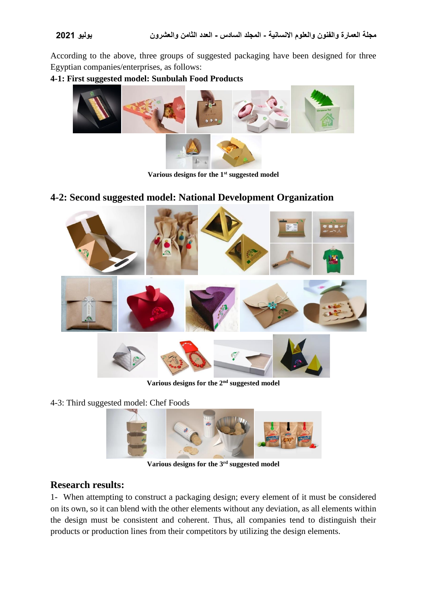According to the above, three groups of suggested packaging have been designed for three Egyptian companies/enterprises, as follows:

### **4-1: First suggested model: Sunbulah Food Products**



**Various designs for the 1st suggested model**

### **4-2: Second suggested model: National Development Organization**



**Various designs for the 2nd suggested model**

4-3: Third suggested model: Chef Foods



**Various designs for the 3rd suggested model**

### **Research results:**

1- When attempting to construct a packaging design; every element of it must be considered on its own, so it can blend with the other elements without any deviation, as all elements within the design must be consistent and coherent. Thus, all companies tend to distinguish their products or production lines from their competitors by utilizing the design elements.